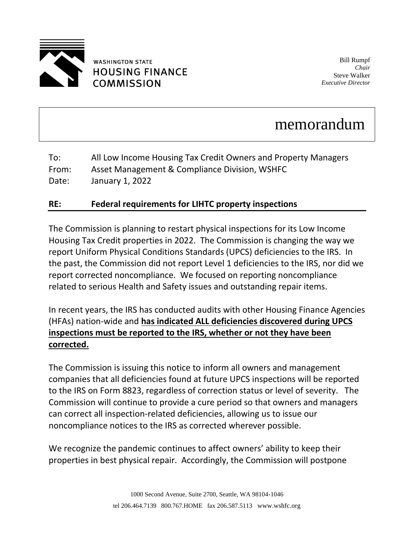

## **WASHINGTON STATE HOUSING FINANCE COMMISSION**

Bill Rumpf *Chair* Steve Walker *Executive Director*

## memorandum

| To:   | All Low Income Housing Tax Credit Owners and Property Managers |
|-------|----------------------------------------------------------------|
| From: | Asset Management & Compliance Division, WSHFC                  |
| Date: | January 1, 2022                                                |

## **RE: Federal requirements for LIHTC property inspections**

The Commission is planning to restart physical inspections for its Low Income Housing Tax Credit properties in 2022. The Commission is changing the way we report Uniform Physical Conditions Standards (UPCS) deficiencies to the IRS. In the past, the Commission did not report Level 1 deficiencies to the IRS, nor did we report corrected noncompliance. We focused on reporting noncompliance related to serious Health and Safety issues and outstanding repair items.

In recent years, the IRS has conducted audits with other Housing Finance Agencies (HFAs) nation-wide and **has indicated ALL deficiencies discovered during UPCS inspections must be reported to the IRS, whether or not they have been corrected.**

The Commission is issuing this notice to inform all owners and management companies that all deficiencies found at future UPCS inspections will be reported to the IRS on Form 8823, regardless of correction status or level of severity. The Commission will continue to provide a cure period so that owners and managers can correct all inspection-related deficiencies, allowing us to issue our noncompliance notices to the IRS as corrected wherever possible.

We recognize the pandemic continues to affect owners' ability to keep their properties in best physical repair. Accordingly, the Commission will postpone